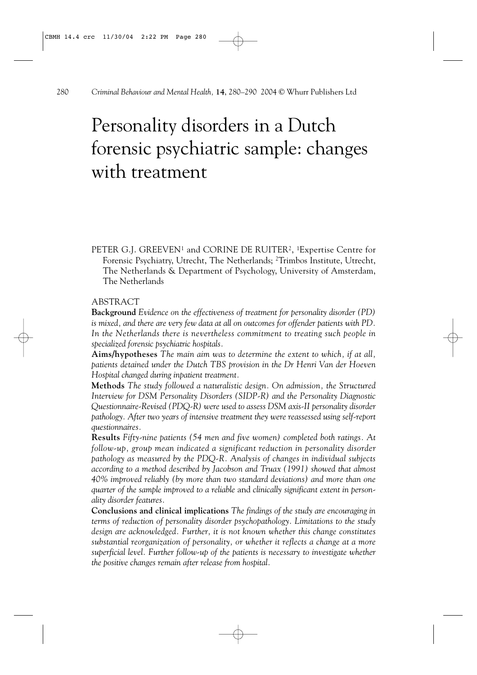# Personality disorders in a Dutch forensic psychiatric sample: changes with treatment

PETER G.J. GREEVEN<sup>1</sup> and CORINE DE RUITER<sup>2</sup>, <sup>1</sup>Expertise Centre for Forensic Psychiatry, Utrecht, The Netherlands; 2Trimbos Institute, Utrecht, The Netherlands & Department of Psychology, University of Amsterdam, The Netherlands

# ABSTRACT

**Background** *Evidence on the effectiveness of treatment for personality disorder (PD) is mixed, and there are very few data at all on outcomes for offender patients with PD. In the Netherlands there is nevertheless commitment to treating such people in specialized forensic psychiatric hospitals.*

**Aims/hypotheses** *The main aim was to determine the extent to which, if at all, patients detained under the Dutch TBS provision in the Dr Henri Van der Hoeven Hospital changed during inpatient treatment.*

**Methods** *The study followed a naturalistic design. On admission, the Structured Interview for DSM Personality Disorders (SIDP-R) and the Personality Diagnostic Questionnaire-Revised (PDQ-R) were used to assess DSM axis-II personality disorder pathology. After two years of intensive treatment they were reassessed using self-report questionnaires.*

**Results** *Fifty-nine patients (54 men and five women) completed both ratings. At follow-up, group mean indicated a significant reduction in personality disorder pathology as measured by the PDQ-R. Analysis of changes in individual subjects according to a method described by Jacobson and Truax (1991) showed that almost 40% improved reliably (by more than two standard deviations) and more than one quarter of the sample improved to a reliable* and *clinically significant extent in personality disorder features.*

**Conclusions and clinical implications** *The findings of the study are encouraging in terms of reduction of personality disorder psychopathology. Limitations to the study design are acknowledged. Further, it is not known whether this change constitutes substantial reorganization of personality, or whether it reflects a change at a more superficial level. Further follow-up of the patients is necessary to investigate whether the positive changes remain after release from hospital.*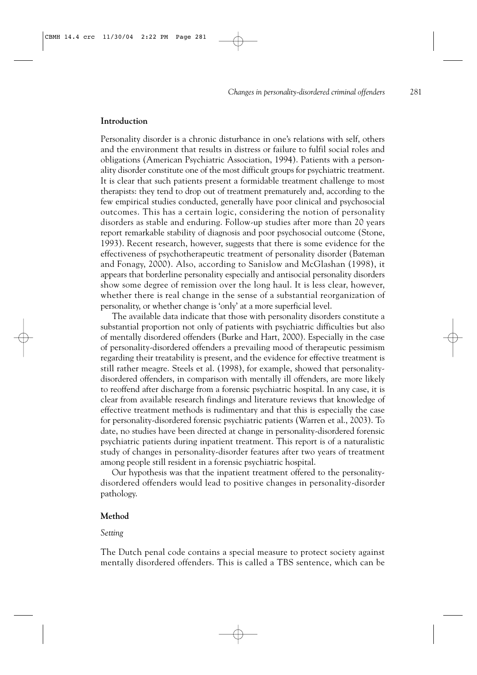#### **Introduction**

Personality disorder is a chronic disturbance in one's relations with self, others and the environment that results in distress or failure to fulfil social roles and obligations (American Psychiatric Association, 1994). Patients with a personality disorder constitute one of the most difficult groups for psychiatric treatment. It is clear that such patients present a formidable treatment challenge to most therapists: they tend to drop out of treatment prematurely and, according to the few empirical studies conducted, generally have poor clinical and psychosocial outcomes. This has a certain logic, considering the notion of personality disorders as stable and enduring. Follow-up studies after more than 20 years report remarkable stability of diagnosis and poor psychosocial outcome (Stone, 1993). Recent research, however, suggests that there is some evidence for the effectiveness of psychotherapeutic treatment of personality disorder (Bateman and Fonagy, 2000). Also, according to Sanislow and McGlashan (1998), it appears that borderline personality especially and antisocial personality disorders show some degree of remission over the long haul. It is less clear, however, whether there is real change in the sense of a substantial reorganization of personality, or whether change is 'only' at a more superficial level.

The available data indicate that those with personality disorders constitute a substantial proportion not only of patients with psychiatric difficulties but also of mentally disordered offenders (Burke and Hart, 2000). Especially in the case of personality-disordered offenders a prevailing mood of therapeutic pessimism regarding their treatability is present, and the evidence for effective treatment is still rather meagre. Steels et al. (1998), for example, showed that personalitydisordered offenders, in comparison with mentally ill offenders, are more likely to reoffend after discharge from a forensic psychiatric hospital. In any case, it is clear from available research findings and literature reviews that knowledge of effective treatment methods is rudimentary and that this is especially the case for personality-disordered forensic psychiatric patients (Warren et al., 2003). To date, no studies have been directed at change in personality-disordered forensic psychiatric patients during inpatient treatment. This report is of a naturalistic study of changes in personality-disorder features after two years of treatment among people still resident in a forensic psychiatric hospital.

Our hypothesis was that the inpatient treatment offered to the personalitydisordered offenders would lead to positive changes in personality-disorder pathology.

#### **Method**

#### *Setting*

The Dutch penal code contains a special measure to protect society against mentally disordered offenders. This is called a TBS sentence, which can be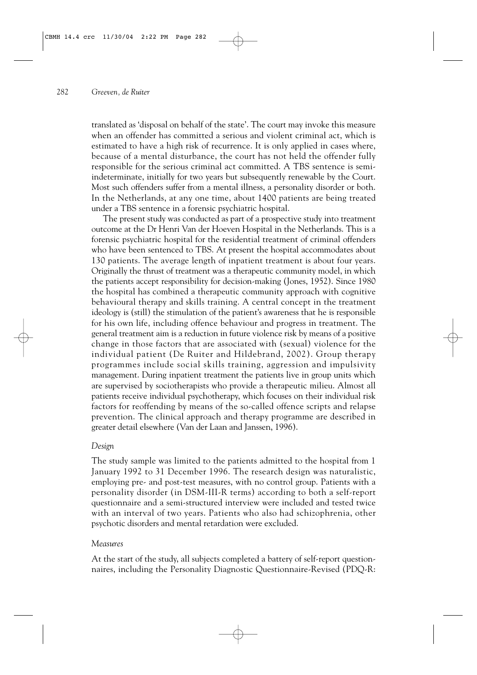translated as 'disposal on behalf of the state'. The court may invoke this measure when an offender has committed a serious and violent criminal act, which is estimated to have a high risk of recurrence. It is only applied in cases where, because of a mental disturbance, the court has not held the offender fully responsible for the serious criminal act committed. A TBS sentence is semiindeterminate, initially for two years but subsequently renewable by the Court. Most such offenders suffer from a mental illness, a personality disorder or both. In the Netherlands, at any one time, about 1400 patients are being treated under a TBS sentence in a forensic psychiatric hospital.

The present study was conducted as part of a prospective study into treatment outcome at the Dr Henri Van der Hoeven Hospital in the Netherlands. This is a forensic psychiatric hospital for the residential treatment of criminal offenders who have been sentenced to TBS. At present the hospital accommodates about 130 patients. The average length of inpatient treatment is about four years. Originally the thrust of treatment was a therapeutic community model, in which the patients accept responsibility for decision-making (Jones, 1952). Since 1980 the hospital has combined a therapeutic community approach with cognitive behavioural therapy and skills training. A central concept in the treatment ideology is (still) the stimulation of the patient's awareness that he is responsible for his own life, including offence behaviour and progress in treatment. The general treatment aim is a reduction in future violence risk by means of a positive change in those factors that are associated with (sexual) violence for the individual patient (De Ruiter and Hildebrand, 2002). Group therapy programmes include social skills training, aggression and impulsivity management. During inpatient treatment the patients live in group units which are supervised by sociotherapists who provide a therapeutic milieu. Almost all patients receive individual psychotherapy, which focuses on their individual risk factors for reoffending by means of the so-called offence scripts and relapse prevention. The clinical approach and therapy programme are described in greater detail elsewhere (Van der Laan and Janssen, 1996).

#### *Design*

The study sample was limited to the patients admitted to the hospital from 1 January 1992 to 31 December 1996. The research design was naturalistic, employing pre- and post-test measures, with no control group. Patients with a personality disorder (in DSM-III-R terms) according to both a self-report questionnaire and a semi-structured interview were included and tested twice with an interval of two years. Patients who also had schizophrenia, other psychotic disorders and mental retardation were excluded.

## *Measures*

At the start of the study, all subjects completed a battery of self-report questionnaires, including the Personality Diagnostic Questionnaire-Revised (PDQ-R: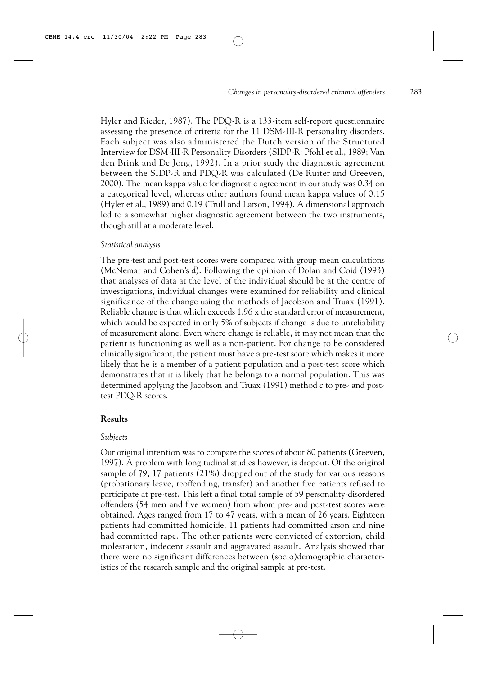Hyler and Rieder, 1987). The PDQ-R is a 133-item self-report questionnaire assessing the presence of criteria for the 11 DSM-III-R personality disorders. Each subject was also administered the Dutch version of the Structured Interview for DSM-III-R Personality Disorders (SIDP-R: Pfohl et al., 1989; Van den Brink and De Jong, 1992). In a prior study the diagnostic agreement between the SIDP-R and PDQ-R was calculated (De Ruiter and Greeven, 2000). The mean kappa value for diagnostic agreement in our study was 0.34 on a categorical level, whereas other authors found mean kappa values of 0.15 (Hyler et al., 1989) and 0.19 (Trull and Larson, 1994). A dimensional approach led to a somewhat higher diagnostic agreement between the two instruments, though still at a moderate level.

#### *Statistical analysis*

The pre-test and post-test scores were compared with group mean calculations (McNemar and Cohen's *d*). Following the opinion of Dolan and Coid (1993) that analyses of data at the level of the individual should be at the centre of investigations, individual changes were examined for reliability and clinical significance of the change using the methods of Jacobson and Truax (1991). Reliable change is that which exceeds 1.96 x the standard error of measurement, which would be expected in only 5% of subjects if change is due to unreliability of measurement alone. Even where change is reliable, it may not mean that the patient is functioning as well as a non-patient. For change to be considered clinically significant, the patient must have a pre-test score which makes it more likely that he is a member of a patient population and a post-test score which demonstrates that it is likely that he belongs to a normal population. This was determined applying the Jacobson and Truax (1991) method *c* to pre- and posttest PDQ-R scores.

## **Results**

#### *Subjects*

Our original intention was to compare the scores of about 80 patients (Greeven, 1997). A problem with longitudinal studies however, is dropout. Of the original sample of 79, 17 patients (21%) dropped out of the study for various reasons (probationary leave, reoffending, transfer) and another five patients refused to participate at pre-test. This left a final total sample of 59 personality-disordered offenders (54 men and five women) from whom pre- and post-test scores were obtained. Ages ranged from 17 to 47 years, with a mean of 26 years. Eighteen patients had committed homicide, 11 patients had committed arson and nine had committed rape. The other patients were convicted of extortion, child molestation, indecent assault and aggravated assault. Analysis showed that there were no significant differences between (socio)demographic characteristics of the research sample and the original sample at pre-test.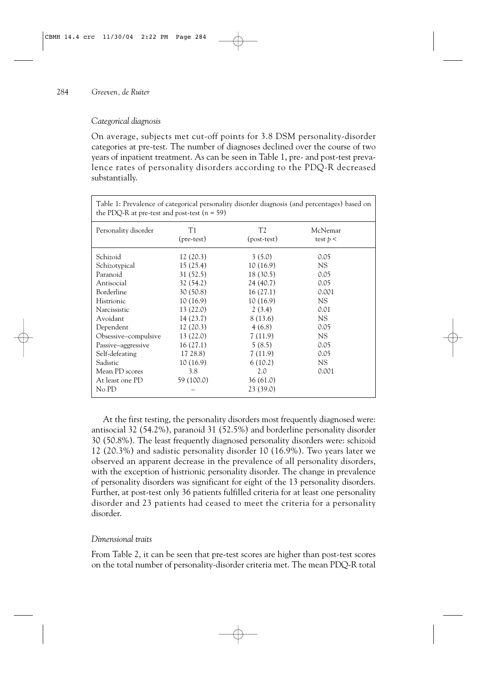# *Categorical diagnosis*

On average, subjects met cut-off points for 3.8 DSM personality-disorder categories at pre-test. The number of diagnoses declined over the course of two years of inpatient treatment. As can be seen in Table 1, pre- and post-test prevalence rates of personality disorders according to the PDQ-R decreased substantially.

| T1<br>T <sub>2</sub>                                                                                                                                                                                                                                                                                                                                                                                                                                                                                                                                                                                                                                                                                                                   |  |
|----------------------------------------------------------------------------------------------------------------------------------------------------------------------------------------------------------------------------------------------------------------------------------------------------------------------------------------------------------------------------------------------------------------------------------------------------------------------------------------------------------------------------------------------------------------------------------------------------------------------------------------------------------------------------------------------------------------------------------------|--|
| Personality disorder<br>McNemar<br>$(\text{pre-test})$<br>$(post-test)$<br>test $p <$                                                                                                                                                                                                                                                                                                                                                                                                                                                                                                                                                                                                                                                  |  |
| Schizoid<br>12(20.3)<br>3(5.0)<br>0.05<br>15(25.4)<br>10(16.9)<br>NS.<br>Schizotypical<br>Paranoid<br>31 (52.5)<br>18 (30.5)<br>0.05<br>32 (54.2)<br>24 (40.7)<br>0.05<br>Antisocial<br>Borderline<br>30(50.8)<br>16(27.1)<br>0.001<br>Histrionic<br>10(16.9)<br>10(16.9)<br>NS.<br>13 (22.0)<br>2(3.4)<br>0.01<br>Narcissistic<br>14(23.7)<br>8 (13.6)<br>Avoidant<br>NS.<br>12(20.3)<br>Dependent<br>4(6.8)<br>0.05<br>13 (22.0)<br>7(11.9)<br>NS.<br>Obsessive–compulsive<br>16(27.1)<br>5(8.5)<br>0.05<br>Passive-aggressive<br>Self-defeating<br>17 28.8)<br>7(11.9)<br>0.05<br>Sadistic<br>10(16.9)<br>6(10.2)<br>NS.<br>Mean PD scores<br>2.0<br>0.001<br>3.8<br>59 (100.0)<br>At least one PD<br>36(61.0)<br>No PD<br>23(39.0) |  |

At the first testing, the personality disorders most frequently diagnosed were: antisocial 32 (54.2%), paranoid 31 (52.5%) and borderline personality disorder 30 (50.8%). The least frequently diagnosed personality disorders were: schizoid 12 (20.3%) and sadistic personality disorder 10 (16.9%). Two years later we observed an apparent decrease in the prevalence of all personality disorders, with the exception of histrionic personality disorder. The change in prevalence of personality disorders was significant for eight of the 13 personality disorders. Further, at post-test only 36 patients fulfilled criteria for at least one personality disorder and 23 patients had ceased to meet the criteria for a personality disorder.

# *Dimensional traits*

From Table 2, it can be seen that pre-test scores are higher than post-test scores on the total number of personality-disorder criteria met. The mean PDQ-R total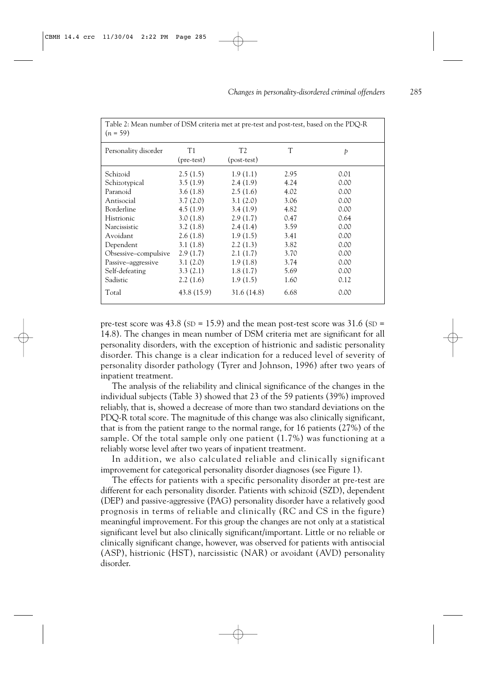| (n = ɔY)             |                  |                     |      |      |
|----------------------|------------------|---------------------|------|------|
| Personality disorder | T1<br>(pre-test) | T2<br>$(post-test)$ | T    | Þ    |
| Schizoid             | 2.5(1.5)         | 1.9(1.1)            | 2.95 | 0.01 |
| Schizotypical        | 3.5(1.9)         | 2.4(1.9)            | 4.24 | 0.00 |
| Paranoid             | 3.6(1.8)         | 2.5(1.6)            | 4.02 | 0.00 |
| Antisocial           | 3.7(2.0)         | 3.1(2.0)            | 3.06 | 0.00 |
| Borderline           | 4.5(1.9)         | 3.4(1.9)            | 4.82 | 0.00 |
| Histrionic           | 3.0(1.8)         | 2.9(1.7)            | 0.47 | 0.64 |
| Narcissistic         | 3.2(1.8)         | 2.4(1.4)            | 3.59 | 0.00 |
| Avoidant             | 2.6(1.8)         | 1.9(1.5)            | 3.41 | 0.00 |
| Dependent            | 3.1(1.8)         | 2.2(1.3)            | 3.82 | 0.00 |
| Obsessive–compulsive | 2.9(1.7)         | 2.1(1.7)            | 3.70 | 0.00 |
| Passive-aggressive   | 3.1(2.0)         | 1.9(1.8)            | 3.74 | 0.00 |
| Self-defeating       | 3.3(2.1)         | 1.8(1.7)            | 5.69 | 0.00 |
| Sadistic             | 2.2(1.6)         | 1.9(1.5)            | 1.60 | 0.12 |
| Total                | 43.8 (15.9)      | 31.6 (14.8)         | 6.68 | 0.00 |

Table 2: Mean number of DSM criteria met at pre-test and post-test, based on the PDQ-R (*n* = 59)

pre-test score was  $43.8$  (SD = 15.9) and the mean post-test score was  $31.6$  (SD = 14.8). The changes in mean number of DSM criteria met are significant for all personality disorders, with the exception of histrionic and sadistic personality disorder. This change is a clear indication for a reduced level of severity of personality disorder pathology (Tyrer and Johnson, 1996) after two years of inpatient treatment.

The analysis of the reliability and clinical significance of the changes in the individual subjects (Table 3) showed that 23 of the 59 patients (39%) improved reliably, that is, showed a decrease of more than two standard deviations on the PDQ-R total score. The magnitude of this change was also clinically significant, that is from the patient range to the normal range, for 16 patients (27%) of the sample. Of the total sample only one patient (1.7%) was functioning at a reliably worse level after two years of inpatient treatment.

In addition, we also calculated reliable and clinically significant improvement for categorical personality disorder diagnoses (see Figure 1).

The effects for patients with a specific personality disorder at pre-test are different for each personality disorder. Patients with schizoid (SZD), dependent (DEP) and passive-aggressive (PAG) personality disorder have a relatively good prognosis in terms of reliable and clinically (RC and CS in the figure) meaningful improvement. For this group the changes are not only at a statistical significant level but also clinically significant/important. Little or no reliable or clinically significant change, however, was observed for patients with antisocial (ASP), histrionic (HST), narcissistic (NAR) or avoidant (AVD) personality disorder.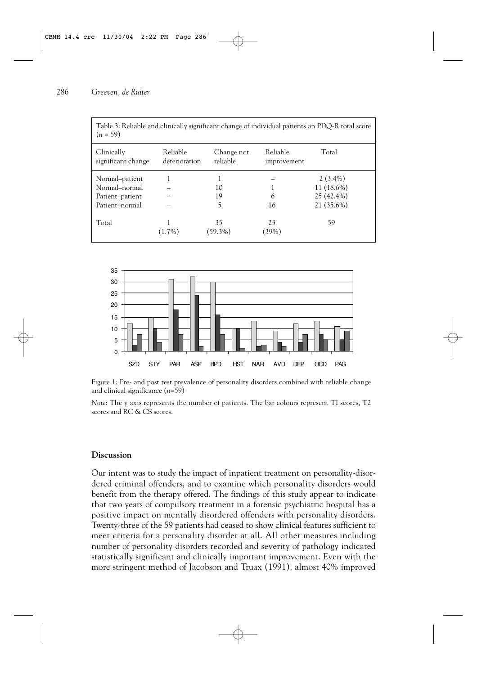| Table 3: Reliable and clinically significant change of individual patients on PDQ-R total score<br>$(n = 59)$ |                           |                        |                         |            |  |  |  |  |
|---------------------------------------------------------------------------------------------------------------|---------------------------|------------------------|-------------------------|------------|--|--|--|--|
| Clinically<br>significant change                                                                              | Reliable<br>deterioration | Change not<br>reliable | Reliable<br>improvement | Total      |  |  |  |  |
| Normal-patient                                                                                                |                           |                        |                         | $2(3.4\%)$ |  |  |  |  |
| Normal–normal                                                                                                 |                           | 10                     |                         | 11 (18.6%) |  |  |  |  |
| Patient-patient                                                                                               |                           | 19                     | 6                       | 25 (42.4%) |  |  |  |  |
| Patient-normal                                                                                                |                           | 5                      | 16                      | 21 (35.6%) |  |  |  |  |
| Total                                                                                                         | $(1.7\%)$                 | 35<br>$(59.3\%)$       | 23<br>(39%)             | 59         |  |  |  |  |



Figure 1: Pre- and post test prevalence of personality disorders combined with reliable change and clinical significance (*n*=59)

*Note*: The y axis represents the number of patients. The bar colours represent TI scores, T2 scores and RC & CS scores.

## **Discussion**

Our intent was to study the impact of inpatient treatment on personality-disordered criminal offenders, and to examine which personality disorders would benefit from the therapy offered. The findings of this study appear to indicate that two years of compulsory treatment in a forensic psychiatric hospital has a positive impact on mentally disordered offenders with personality disorders. Twenty-three of the 59 patients had ceased to show clinical features sufficient to meet criteria for a personality disorder at all. All other measures including number of personality disorders recorded and severity of pathology indicated statistically significant and clinically important improvement. Even with the more stringent method of Jacobson and Truax (1991), almost 40% improved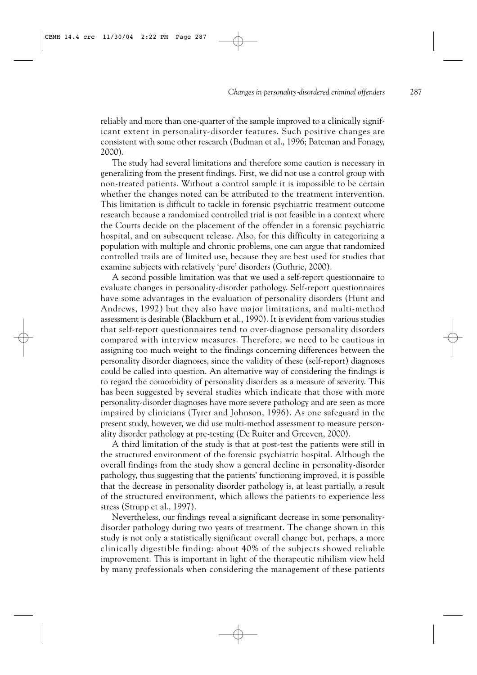reliably and more than one-quarter of the sample improved to a clinically significant extent in personality-disorder features. Such positive changes are consistent with some other research (Budman et al., 1996; Bateman and Fonagy, 2000).

The study had several limitations and therefore some caution is necessary in generalizing from the present findings. First, we did not use a control group with non-treated patients. Without a control sample it is impossible to be certain whether the changes noted can be attributed to the treatment intervention. This limitation is difficult to tackle in forensic psychiatric treatment outcome research because a randomized controlled trial is not feasible in a context where the Courts decide on the placement of the offender in a forensic psychiatric hospital, and on subsequent release. Also, for this difficulty in categorizing a population with multiple and chronic problems, one can argue that randomized controlled trails are of limited use, because they are best used for studies that examine subjects with relatively 'pure' disorders (Guthrie, 2000).

A second possible limitation was that we used a self-report questionnaire to evaluate changes in personality-disorder pathology. Self-report questionnaires have some advantages in the evaluation of personality disorders (Hunt and Andrews, 1992) but they also have major limitations, and multi-method assessment is desirable (Blackburn et al., 1990). It is evident from various studies that self-report questionnaires tend to over-diagnose personality disorders compared with interview measures. Therefore, we need to be cautious in assigning too much weight to the findings concerning differences between the personality disorder diagnoses, since the validity of these (self-report) diagnoses could be called into question. An alternative way of considering the findings is to regard the comorbidity of personality disorders as a measure of severity. This has been suggested by several studies which indicate that those with more personality-disorder diagnoses have more severe pathology and are seen as more impaired by clinicians (Tyrer and Johnson, 1996). As one safeguard in the present study, however, we did use multi-method assessment to measure personality disorder pathology at pre-testing (De Ruiter and Greeven, 2000).

A third limitation of the study is that at post-test the patients were still in the structured environment of the forensic psychiatric hospital. Although the overall findings from the study show a general decline in personality-disorder pathology, thus suggesting that the patients' functioning improved, it is possible that the decrease in personality disorder pathology is, at least partially, a result of the structured environment, which allows the patients to experience less stress (Strupp et al., 1997).

Nevertheless, our findings reveal a significant decrease in some personalitydisorder pathology during two years of treatment. The change shown in this study is not only a statistically significant overall change but, perhaps, a more clinically digestible finding: about 40% of the subjects showed reliable improvement. This is important in light of the therapeutic nihilism view held by many professionals when considering the management of these patients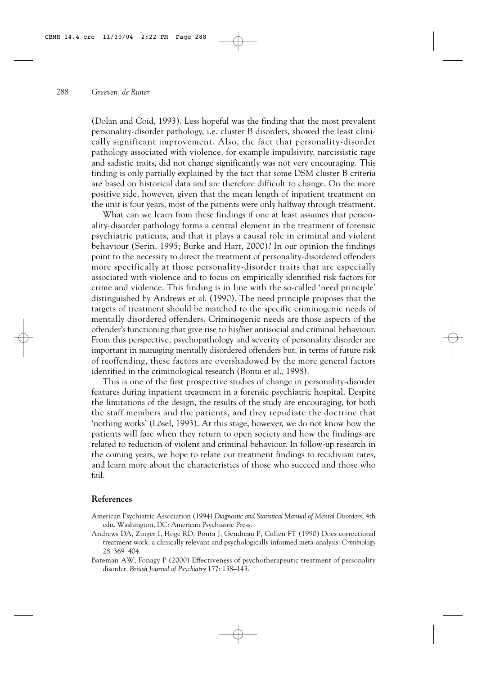(Dolan and Coid, 1993). Less hopeful was the finding that the most prevalent personality-disorder pathology, i.e. cluster B disorders, showed the least clinically significant improvement. Also, the fact that personality-disorder pathology associated with violence, for example impulsivity, narcissistic rage and sadistic traits, did not change significantly was not very encouraging. This finding is only partially explained by the fact that some DSM cluster B criteria are based on historical data and are therefore difficult to change. On the more positive side, however, given that the mean length of inpatient treatment on the unit is four years, most of the patients were only halfway through treatment.

What can we learn from these findings if one at least assumes that personality-disorder pathology forms a central element in the treatment of forensic psychiatric patients, and that it plays a causal role in criminal and violent behaviour (Serin, 1995; Burke and Hart, 2000)? In our opinion the findings point to the necessity to direct the treatment of personality-disordered offenders more specifically at those personality-disorder traits that are especially associated with violence and to focus on empirically identified risk factors for crime and violence. This finding is in line with the so-called 'need principle' distinguished by Andrews et al. (1990). The need principle proposes that the targets of treatment should be matched to the specific criminogenic needs of mentally disordered offenders. Criminogenic needs are those aspects of the offender's functioning that give rise to his/her antisocial and criminal behaviour. From this perspective, psychopathology and severity of personality disorder are important in managing mentally disordered offenders but, in terms of future risk of reoffending, these factors are overshadowed by the more general factors identified in the criminological research (Bonta et al., 1998).

This is one of the first prospective studies of change in personality-disorder features during inpatient treatment in a forensic psychiatric hospital. Despite the limitations of the design, the results of the study are encouraging, for both the staff members and the patients, and they repudiate the doctrine that 'nothing works' (Lösel, 1993). At this stage, however, we do not know how the patients will fare when they return to open society and how the findings are related to reduction of violent and criminal behaviour. In follow-up research in the coming years, we hope to relate our treatment findings to recidivism rates, and learn more about the characteristics of those who succeed and those who fail.

#### **References**

- American Psychiatric Association (1994) *Diagnostic and Statistical Manual of Mental Disorders*, 4th edn. Washington, DC: American Psychiatric Press.
- Andrews DA, Zinger I, Hoge RD, Bonta J, Gendreau P, Cullen FT (1990) Does correctional treatment work: a clinically relevant and psychologically informed meta-analysis. *Criminology* 28: 369–404.
- Bateman AW, Fonagy P (2000) Effectiveness of psychotherapeutic treatment of personality disorder. *British Journal of Psychiatry* 177: 138–143.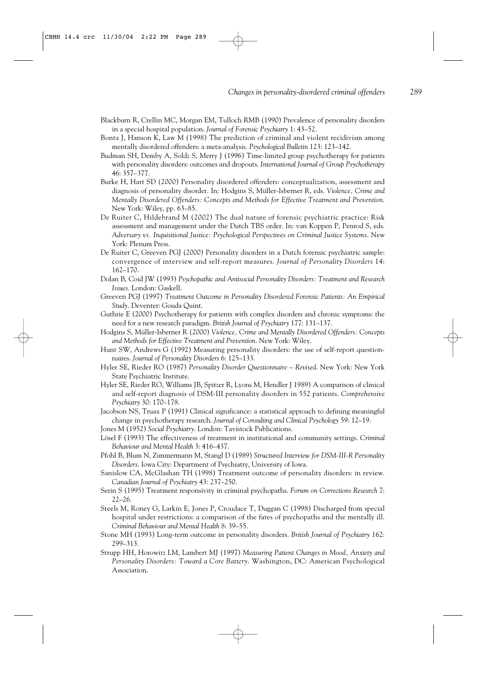- Blackburn R, Crellin MC, Morgan EM, Tulloch RMB (1990) Prevalence of personality disorders in a special hospital population. *Journal of Forensic Psychiatry* 1: 43–52.
- Bonta J, Hanson K, Law M (1998) The prediction of criminal and violent recidivism among mentally disordered offenders: a meta-analysis. *Psychological Bulletin* 123: 123–142.
- Budman SH, Demby A, Soldz S, Merry J (1996) Time-limited group psychotherapy for patients with personality disorders: outcomes and dropouts. *International Journal of Group Psychotherapy* 46: 357–377.
- Burke H, Hart SD (2000) Personality disordered offenders: conceptualization, assessment and diagnosis of personality disorder. In: Hodgins S, Müller-Isberner R, eds. *Violence, Crime and Mentally Disordered Offenders: Concepts and Methods for Effective Treatment and Prevention*. New York: Wiley, pp. 63–85.
- De Ruiter C, Hildebrand M (2002) The dual nature of forensic psychiatric practice: Risk assessment and management under the Dutch TBS order. In: van Koppen P, Penrod S, eds. *Adversary vs. Inquisitional Justice: Psychological Perspectives on Criminal Justice Systems*. New York: Plenum Press.
- De Ruiter C, Greeven PGJ (2000) Personality disorders in a Dutch forensic psychiatric sample: convergence of interview and self-report measures. *Journal of Personality Disorders* 14: 162–170.
- Dolan B, Coid JW (1993) *Psychopathic and Antisocial Personality Disorders: Treatment and Research Issues*. London: Gaskell.
- Greeven PGJ (1997) *Treatment Outcome in Personality Disordered Forensic Patients: An Empirical Study*. Deventer: Gouda Quint.
- Guthrie E (2000) Psychotherapy for patients with complex disorders and chronic symptoms: the need for a new research paradigm. *British Journal of Psychiatry* 177: 131–137.
- Hodgins S, Müller-Isberner R (2000) *Violence, Crime and Mentally Disordered Offenders: Concepts and Methods for Effective Treatment and Prevention*. New York: Wiley.
- Hunt SW, Andrews G (1992) Measuring personality disorders: the use of self-report questionnaires. *Journal of Personality Disorders* 6: 125–133.
- Hyler SE, Rieder RO (1987) *Personality Disorder Questionnaire Revised*. New York: New York State Psychiatric Institute.
- Hyler SE, Rieder RO, Williams JB, Spitzer R, Lyons M, Hendler J 1989) A comparison of clinical and self-report diagnosis of DSM-III personality disorders in 552 patients. *Comprehensive Psychiatry* 30: 170–178.
- Jacobson NS, Truax P (1991) Clinical significance: a statistical approach to defining meaningful change in psychotherapy research. *Journal of Consulting and Clinical Psychology* 59: 12–19.
- Jones M (1952) *Social Psychiatry*. London: Tavistock Publications.
- Lösel F (1993) The effectiveness of treatment in institutional and community settings. *Criminal Behaviour and Mental Health* 3: 416–437.
- Pfohl B, Blum N, Zimmermann M, Stangl D (1989) *Structured Interview for DSM-III-R Personality Disorders*. Iowa City: Department of Psychiatry, University of Iowa.
- Sanislow CA, McGlashan TH (1998) Treatment outcome of personality disorders: in review. *Canadian Journal of Psychiatry* 43: 237–250.
- Serin S (1995) Treatment responsivity in criminal psychopaths. *Forum on Corrections Research* 7: 22–26.
- Steels M, Roney G, Larkin E, Jones P, Croudace T, Duggan C (1998) Discharged from special hospital under restrictions: a comparison of the fates of psychopaths and the mentally ill. *Criminal Behaviour and Mental Health* 8: 39–55.
- Stone MH (1993) Long-term outcome in personality disorders. *British Journal of Psychiatry* 162: 299–313.
- Strupp HH, Horowitz LM, Lambert MJ (1997) *Measuring Patient Changes in Mood, Anxiety and Personality Disorders: Toward a Core Battery*. Washington, DC: American Psychological Association.